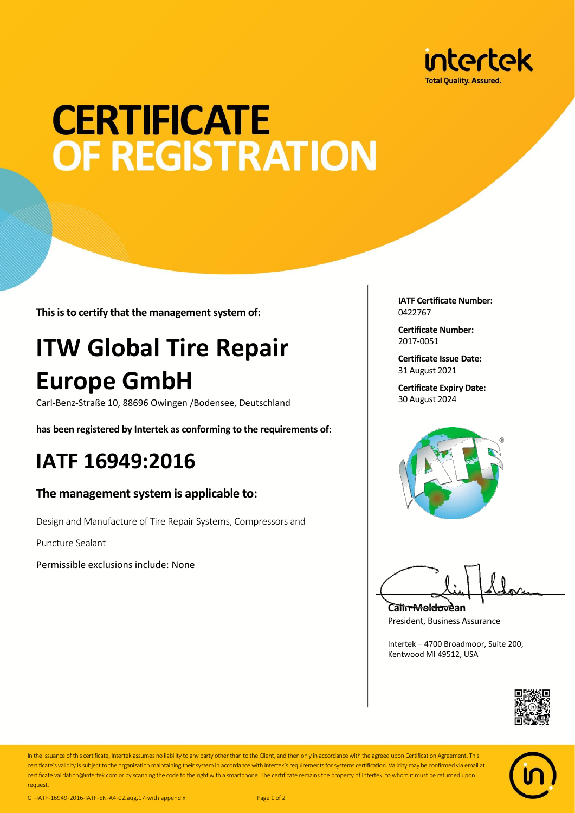

# **CERTIFICATE** OF REGISTRATION

**This is to certify that the management system of:**

## **ITW Global Tire Repair Europe GmbH**

Carl‐Benz‐Straße 10, 88696 Owingen /Bodensee, Deutschland

**has been registered by Intertek as conforming to the requirements of:**

### **IATF 16949:2016**

#### **The management system is applicable to:**

Design and Manufacture of Tire Repair Systems, Compressors and

Puncture Sealant

Permissible exclusions include: None

**IATF Certificate Number:** 0422767

**Certificate Number:** 2017‐0051

**Certificate Issue Date:** 31 August 2021

**Certificate Expiry Date:** 30 August 2024



**Calin Moldovean** President, Business Assurance

Intertek – 4700 Broadmoor, Suite 200, Kentwood MI 49512, USA





In the issuance of this certificate, Intertek assumes no liability to any party other than to the Client, and then only in accordance with the agreed upon Certification Agreement. This certificate's validity is subject to the organization maintaining their system in accordance with Intertek's requirements for systems certification. Validity may be confirmed via email at certificate.validation@intertek.com or by scanning the code to the right with a smartphone. The certificate remains the property of Intertek, to whom it must be returned upon request

CT-IATF-16949-2016-IATF-EN-A4-02.aug.17-with appendix Page 1 of 2